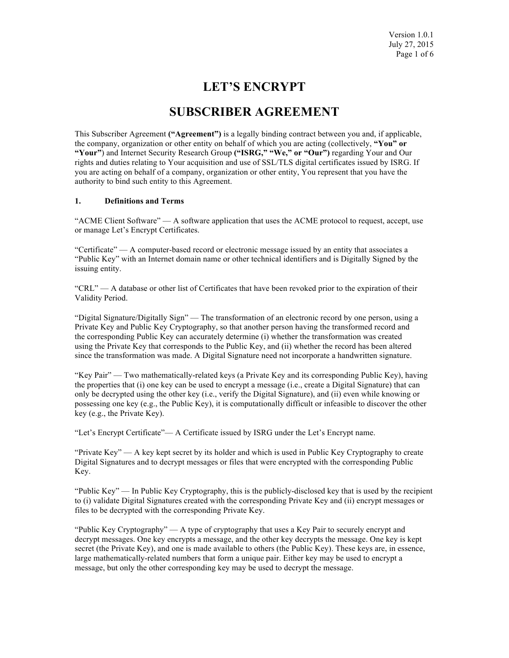# **LET'S ENCRYPT**

# **SUBSCRIBER AGREEMENT**

This Subscriber Agreement **("Agreement")** is a legally binding contract between you and, if applicable, the company, organization or other entity on behalf of which you are acting (collectively, **"You" or "Your"**) and Internet Security Research Group **("ISRG," "We," or "Our")** regarding Your and Our rights and duties relating to Your acquisition and use of SSL/TLS digital certificates issued by ISRG. If you are acting on behalf of a company, organization or other entity, You represent that you have the authority to bind such entity to this Agreement.

# **1. Definitions and Terms**

"ACME Client Software" — A software application that uses the ACME protocol to request, accept, use or manage Let's Encrypt Certificates.

"Certificate" — A computer-based record or electronic message issued by an entity that associates a "Public Key" with an Internet domain name or other technical identifiers and is Digitally Signed by the issuing entity.

"CRL" — A database or other list of Certificates that have been revoked prior to the expiration of their Validity Period.

"Digital Signature/Digitally Sign" — The transformation of an electronic record by one person, using a Private Key and Public Key Cryptography, so that another person having the transformed record and the corresponding Public Key can accurately determine (i) whether the transformation was created using the Private Key that corresponds to the Public Key, and (ii) whether the record has been altered since the transformation was made. A Digital Signature need not incorporate a handwritten signature.

"Key Pair" — Two mathematically-related keys (a Private Key and its corresponding Public Key), having the properties that (i) one key can be used to encrypt a message (i.e., create a Digital Signature) that can only be decrypted using the other key (i.e., verify the Digital Signature), and (ii) even while knowing or possessing one key (e.g., the Public Key), it is computationally difficult or infeasible to discover the other key (e.g., the Private Key).

"Let's Encrypt Certificate"— A Certificate issued by ISRG under the Let's Encrypt name.

"Private Key" — A key kept secret by its holder and which is used in Public Key Cryptography to create Digital Signatures and to decrypt messages or files that were encrypted with the corresponding Public Key.

"Public Key" — In Public Key Cryptography, this is the publicly-disclosed key that is used by the recipient to (i) validate Digital Signatures created with the corresponding Private Key and (ii) encrypt messages or files to be decrypted with the corresponding Private Key.

"Public Key Cryptography" — A type of cryptography that uses a Key Pair to securely encrypt and decrypt messages. One key encrypts a message, and the other key decrypts the message. One key is kept secret (the Private Key), and one is made available to others (the Public Key). These keys are, in essence, large mathematically-related numbers that form a unique pair. Either key may be used to encrypt a message, but only the other corresponding key may be used to decrypt the message.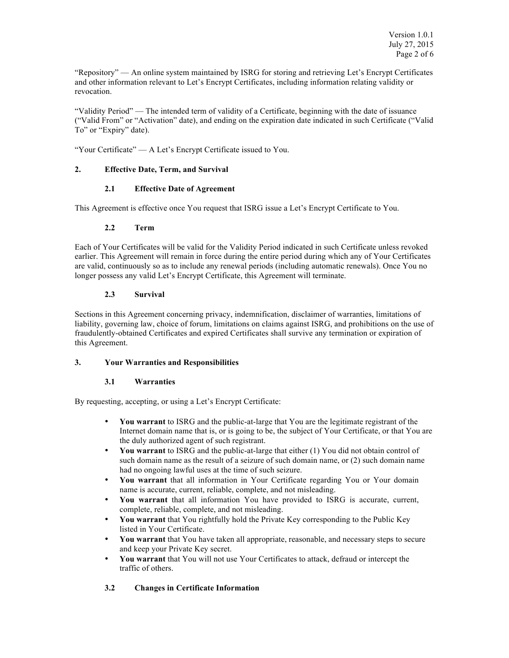"Repository" — An online system maintained by ISRG for storing and retrieving Let's Encrypt Certificates and other information relevant to Let's Encrypt Certificates, including information relating validity or revocation.

"Validity Period" — The intended term of validity of a Certificate, beginning with the date of issuance ("Valid From" or "Activation" date), and ending on the expiration date indicated in such Certificate ("Valid To" or "Expiry" date).

"Your Certificate" — A Let's Encrypt Certificate issued to You.

# **2. Effective Date, Term, and Survival**

# **2.1 Effective Date of Agreement**

This Agreement is effective once You request that ISRG issue a Let's Encrypt Certificate to You.

# **2.2 Term**

Each of Your Certificates will be valid for the Validity Period indicated in such Certificate unless revoked earlier. This Agreement will remain in force during the entire period during which any of Your Certificates are valid, continuously so as to include any renewal periods (including automatic renewals). Once You no longer possess any valid Let's Encrypt Certificate, this Agreement will terminate.

# **2.3 Survival**

Sections in this Agreement concerning privacy, indemnification, disclaimer of warranties, limitations of liability, governing law, choice of forum, limitations on claims against ISRG, and prohibitions on the use of fraudulently-obtained Certificates and expired Certificates shall survive any termination or expiration of this Agreement.

### **3. Your Warranties and Responsibilities**

### **3.1 Warranties**

By requesting, accepting, or using a Let's Encrypt Certificate:

- **You warrant** to ISRG and the public-at-large that You are the legitimate registrant of the Internet domain name that is, or is going to be, the subject of Your Certificate, or that You are the duly authorized agent of such registrant.
- **You warrant** to ISRG and the public-at-large that either (1) You did not obtain control of such domain name as the result of a seizure of such domain name, or (2) such domain name had no ongoing lawful uses at the time of such seizure.
- **You warrant** that all information in Your Certificate regarding You or Your domain name is accurate, current, reliable, complete, and not misleading.
- **You warrant** that all information You have provided to ISRG is accurate, current, complete, reliable, complete, and not misleading.
- **You warrant** that You rightfully hold the Private Key corresponding to the Public Key listed in Your Certificate.
- **You warrant** that You have taken all appropriate, reasonable, and necessary steps to secure and keep your Private Key secret.
- **You warrant** that You will not use Your Certificates to attack, defraud or intercept the traffic of others.

# **3.2 Changes in Certificate Information**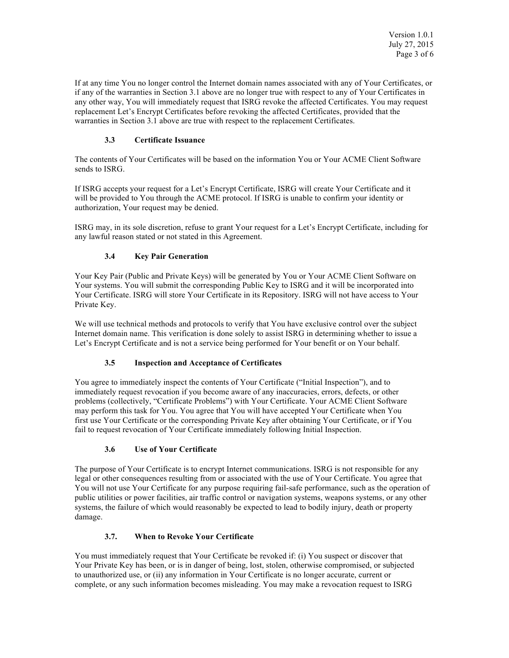If at any time You no longer control the Internet domain names associated with any of Your Certificates, or if any of the warranties in Section 3.1 above are no longer true with respect to any of Your Certificates in any other way, You will immediately request that ISRG revoke the affected Certificates. You may request replacement Let's Encrypt Certificates before revoking the affected Certificates, provided that the warranties in Section 3.1 above are true with respect to the replacement Certificates.

# **3.3 Certificate Issuance**

The contents of Your Certificates will be based on the information You or Your ACME Client Software sends to ISRG.

If ISRG accepts your request for a Let's Encrypt Certificate, ISRG will create Your Certificate and it will be provided to You through the ACME protocol. If ISRG is unable to confirm your identity or authorization, Your request may be denied.

ISRG may, in its sole discretion, refuse to grant Your request for a Let's Encrypt Certificate, including for any lawful reason stated or not stated in this Agreement.

# **3.4 Key Pair Generation**

Your Key Pair (Public and Private Keys) will be generated by You or Your ACME Client Software on Your systems. You will submit the corresponding Public Key to ISRG and it will be incorporated into Your Certificate. ISRG will store Your Certificate in its Repository. ISRG will not have access to Your Private Key.

We will use technical methods and protocols to verify that You have exclusive control over the subject Internet domain name. This verification is done solely to assist ISRG in determining whether to issue a Let's Encrypt Certificate and is not a service being performed for Your benefit or on Your behalf.

### **3.5 Inspection and Acceptance of Certificates**

You agree to immediately inspect the contents of Your Certificate ("Initial Inspection"), and to immediately request revocation if you become aware of any inaccuracies, errors, defects, or other problems (collectively, "Certificate Problems") with Your Certificate. Your ACME Client Software may perform this task for You. You agree that You will have accepted Your Certificate when You first use Your Certificate or the corresponding Private Key after obtaining Your Certificate, or if You fail to request revocation of Your Certificate immediately following Initial Inspection.

# **3.6 Use of Your Certificate**

The purpose of Your Certificate is to encrypt Internet communications. ISRG is not responsible for any legal or other consequences resulting from or associated with the use of Your Certificate. You agree that You will not use Your Certificate for any purpose requiring fail-safe performance, such as the operation of public utilities or power facilities, air traffic control or navigation systems, weapons systems, or any other systems, the failure of which would reasonably be expected to lead to bodily injury, death or property damage.

### **3.7. When to Revoke Your Certificate**

You must immediately request that Your Certificate be revoked if: (i) You suspect or discover that Your Private Key has been, or is in danger of being, lost, stolen, otherwise compromised, or subjected to unauthorized use, or (ii) any information in Your Certificate is no longer accurate, current or complete, or any such information becomes misleading. You may make a revocation request to ISRG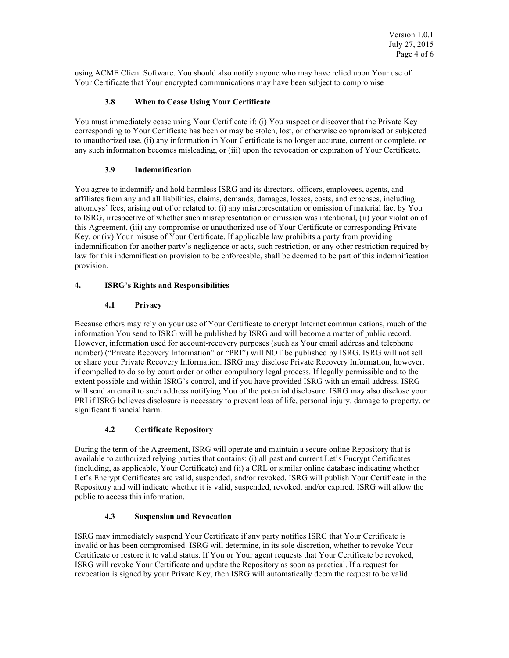using ACME Client Software. You should also notify anyone who may have relied upon Your use of Your Certificate that Your encrypted communications may have been subject to compromise

# **3.8 When to Cease Using Your Certificate**

You must immediately cease using Your Certificate if: (i) You suspect or discover that the Private Key corresponding to Your Certificate has been or may be stolen, lost, or otherwise compromised or subjected to unauthorized use, (ii) any information in Your Certificate is no longer accurate, current or complete, or any such information becomes misleading, or (iii) upon the revocation or expiration of Your Certificate.

# **3.9 Indemnification**

You agree to indemnify and hold harmless ISRG and its directors, officers, employees, agents, and affiliates from any and all liabilities, claims, demands, damages, losses, costs, and expenses, including attorneys' fees, arising out of or related to: (i) any misrepresentation or omission of material fact by You to ISRG, irrespective of whether such misrepresentation or omission was intentional, (ii) your violation of this Agreement, (iii) any compromise or unauthorized use of Your Certificate or corresponding Private Key, or (iv) Your misuse of Your Certificate. If applicable law prohibits a party from providing indemnification for another party's negligence or acts, such restriction, or any other restriction required by law for this indemnification provision to be enforceable, shall be deemed to be part of this indemnification provision.

# **4. ISRG's Rights and Responsibilities**

# **4.1 Privacy**

Because others may rely on your use of Your Certificate to encrypt Internet communications, much of the information You send to ISRG will be published by ISRG and will become a matter of public record. However, information used for account-recovery purposes (such as Your email address and telephone number) ("Private Recovery Information" or "PRI") will NOT be published by ISRG. ISRG will not sell or share your Private Recovery Information. ISRG may disclose Private Recovery Information, however, if compelled to do so by court order or other compulsory legal process. If legally permissible and to the extent possible and within ISRG's control, and if you have provided ISRG with an email address, ISRG will send an email to such address notifying You of the potential disclosure. ISRG may also disclose your PRI if ISRG believes disclosure is necessary to prevent loss of life, personal injury, damage to property, or significant financial harm.

# **4.2 Certificate Repository**

During the term of the Agreement, ISRG will operate and maintain a secure online Repository that is available to authorized relying parties that contains: (i) all past and current Let's Encrypt Certificates (including, as applicable, Your Certificate) and (ii) a CRL or similar online database indicating whether Let's Encrypt Certificates are valid, suspended, and/or revoked. ISRG will publish Your Certificate in the Repository and will indicate whether it is valid, suspended, revoked, and/or expired. ISRG will allow the public to access this information.

### **4.3 Suspension and Revocation**

ISRG may immediately suspend Your Certificate if any party notifies ISRG that Your Certificate is invalid or has been compromised. ISRG will determine, in its sole discretion, whether to revoke Your Certificate or restore it to valid status. If You or Your agent requests that Your Certificate be revoked, ISRG will revoke Your Certificate and update the Repository as soon as practical. If a request for revocation is signed by your Private Key, then ISRG will automatically deem the request to be valid.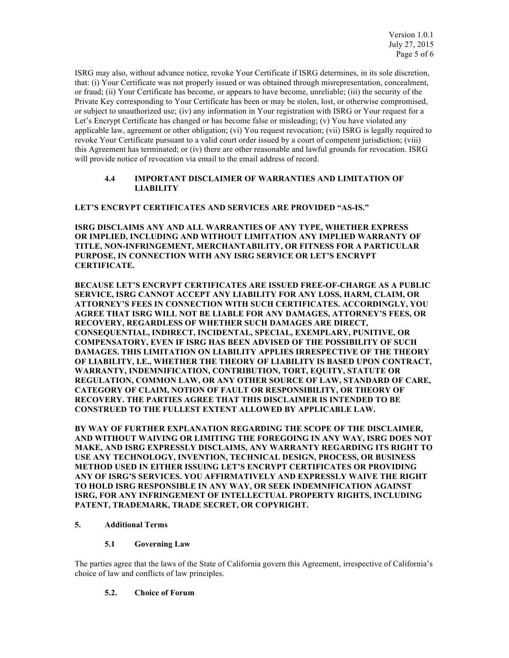ISRG may also, without advance notice, revoke Your Certificate if ISRG determines, in its sole discretion, that: (i) Your Certificate was not properly issued or was obtained through misrepresentation, concealment, or fraud; (ii) Your Certificate has become, or appears to have become, unreliable; (iii) the security of the Private Key corresponding to Your Certificate has been or may be stolen, lost, or otherwise compromised, or subject to unauthorized use; (iv) any information in Your registration with ISRG or Your request for a Let's Encrypt Certificate has changed or has become false or misleading; (v) You have violated any applicable law, agreement or other obligation; (vi) You request revocation; (vii) ISRG is legally required to revoke Your Certificate pursuant to a valid court order issued by a court of competent jurisdiction; (viii) this Agreement has terminated; or (iv) there are other reasonable and lawful grounds for revocation. ISRG will provide notice of revocation via email to the email address of record.

### **4.4 IMPORTANT DISCLAIMER OF WARRANTIES AND LIMITATION OF LIABILITY**

**LET'S ENCRYPT CERTIFICATES AND SERVICES ARE PROVIDED "AS-IS."**

**ISRG DISCLAIMS ANY AND ALL WARRANTIES OF ANY TYPE, WHETHER EXPRESS OR IMPLIED, INCLUDING AND WITHOUT LIMITATION ANY IMPLIED WARRANTY OF TITLE, NON-INFRINGEMENT, MERCHANTABILITY, OR FITNESS FOR A PARTICULAR PURPOSE, IN CONNECTION WITH ANY ISRG SERVICE OR LET'S ENCRYPT CERTIFICATE.**

**BECAUSE LET'S ENCRYPT CERTIFICATES ARE ISSUED FREE-OF-CHARGE AS A PUBLIC SERVICE, ISRG CANNOT ACCEPT ANY LIABILITY FOR ANY LOSS, HARM, CLAIM, OR ATTORNEY'S FEES IN CONNECTION WITH SUCH CERTIFICATES. ACCORDINGLY, YOU AGREE THAT ISRG WILL NOT BE LIABLE FOR ANY DAMAGES, ATTORNEY'S FEES, OR RECOVERY, REGARDLESS OF WHETHER SUCH DAMAGES ARE DIRECT, CONSEQUENTIAL, INDIRECT, INCIDENTAL, SPECIAL, EXEMPLARY, PUNITIVE, OR COMPENSATORY, EVEN IF ISRG HAS BEEN ADVISED OF THE POSSIBILITY OF SUCH DAMAGES. THIS LIMITATION ON LIABILITY APPLIES IRRESPECTIVE OF THE THEORY OF LIABILITY, I.E., WHETHER THE THEORY OF LIABILITY IS BASED UPON CONTRACT, WARRANTY, INDEMNIFICATION, CONTRIBUTION, TORT, EQUITY, STATUTE OR REGULATION, COMMON LAW, OR ANY OTHER SOURCE OF LAW, STANDARD OF CARE, CATEGORY OF CLAIM, NOTION OF FAULT OR RESPONSIBILITY, OR THEORY OF RECOVERY. THE PARTIES AGREE THAT THIS DISCLAIMER IS INTENDED TO BE CONSTRUED TO THE FULLEST EXTENT ALLOWED BY APPLICABLE LAW.**

**BY WAY OF FURTHER EXPLANATION REGARDING THE SCOPE OF THE DISCLAIMER, AND WITHOUT WAIVING OR LIMITING THE FOREGOING IN ANY WAY, ISRG DOES NOT MAKE, AND ISRG EXPRESSLY DISCLAIMS, ANY WARRANTY REGARDING ITS RIGHT TO USE ANY TECHNOLOGY, INVENTION, TECHNICAL DESIGN, PROCESS, OR BUSINESS METHOD USED IN EITHER ISSUING LET'S ENCRYPT CERTIFICATES OR PROVIDING ANY OF ISRG'S SERVICES. YOU AFFIRMATIVELY AND EXPRESSLY WAIVE THE RIGHT TO HOLD ISRG RESPONSIBLE IN ANY WAY, OR SEEK INDEMNIFICATION AGAINST ISRG, FOR ANY INFRINGEMENT OF INTELLECTUAL PROPERTY RIGHTS, INCLUDING PATENT, TRADEMARK, TRADE SECRET, OR COPYRIGHT.**

#### **5. Additional Terms**

# **5.1 Governing Law**

The parties agree that the laws of the State of California govern this Agreement, irrespective of California's choice of law and conflicts of law principles.

#### **5.2. Choice of Forum**